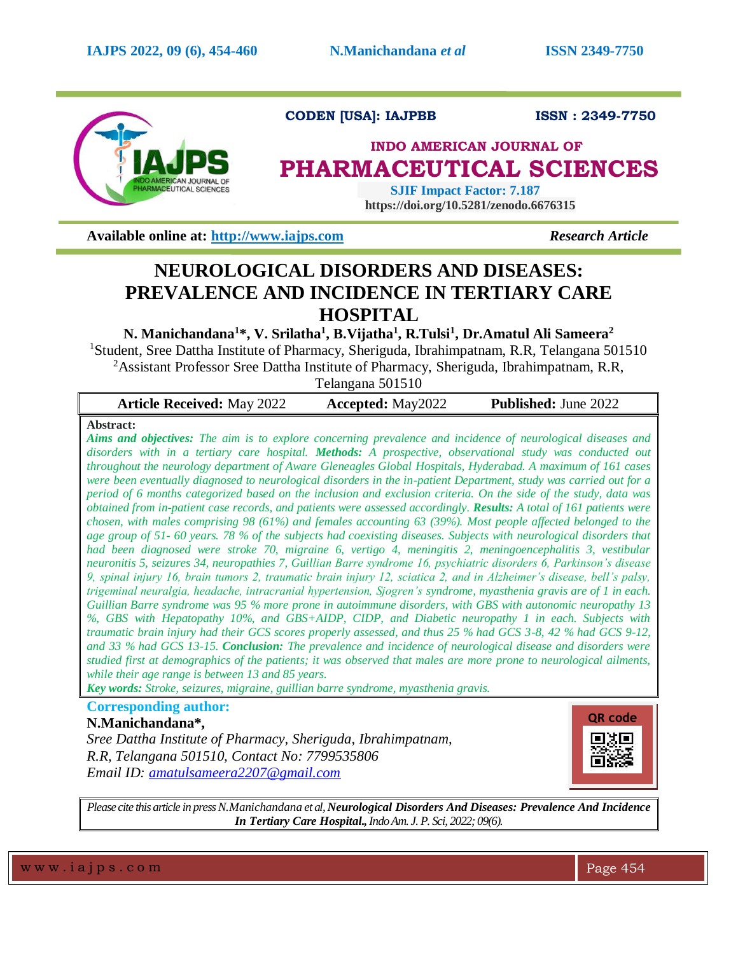

# **CODEN [USA]: IAJPBB ISSN : 2349-7750**

# **INDO AMERICAN JOURNAL OF PHARMACEUTICAL SCIENCES**

 **SJIF Impact Factor: 7.187 https://doi.org/10.5281/zenodo.6676315**

**Available online at: [http://www.iajps.com](http://www.iajps.com/)** *Research Article*

# **NEUROLOGICAL DISORDERS AND DISEASES: PREVALENCE AND INCIDENCE IN TERTIARY CARE HOSPITAL**

**N. Manichandana<sup>1</sup> \*, V. Srilatha<sup>1</sup> , B.Vijatha<sup>1</sup> , R.Tulsi<sup>1</sup> , Dr.Amatul Ali Sameera<sup>2</sup>**

<sup>1</sup>Student, Sree Dattha Institute of Pharmacy, Sheriguda, Ibrahimpatnam, R.R, Telangana 501510 <sup>2</sup>Assistant Professor Sree Dattha Institute of Pharmacy, Sheriguda, Ibrahimpatnam, R.R,

Telangana 501510

| <b>Article Received: May 2022</b> | <b>Accepted:</b> May2022 | <b>Published:</b> June 2022 |
|-----------------------------------|--------------------------|-----------------------------|
|-----------------------------------|--------------------------|-----------------------------|

# **Abstract:**

*Aims and objectives: The aim is to explore concerning prevalence and incidence of neurological diseases and disorders with in a tertiary care hospital. Methods: A prospective, observational study was conducted out throughout the neurology department of Aware Gleneagles Global Hospitals, Hyderabad. A maximum of 161 cases were been eventually diagnosed to neurological disorders in the in-patient Department, study was carried out for a period of 6 months categorized based on the inclusion and exclusion criteria. On the side of the study, data was obtained from in-patient case records, and patients were assessed accordingly. Results: A total of 161 patients were chosen, with males comprising 98 (61%) and females accounting 63 (39%). Most people affected belonged to the age group of 51- 60 years. 78 % of the subjects had coexisting diseases. Subjects with neurological disorders that had been diagnosed were stroke 70, migraine 6, vertigo 4, meningitis 2, meningoencephalitis 3, vestibular neuronitis 5, seizures 34, neuropathies 7, Guillian Barre syndrome 16, psychiatric disorders 6, Parkinson's disease 9, spinal injury 16, brain tumors 2, traumatic brain injury 12, sciatica 2, and in Alzheimer's disease, bell's palsy, trigeminal neuralgia, headache, intracranial hypertension, Sjogren's syndrome, myasthenia gravis are of 1 in each. Guillian Barre syndrome was 95 % more prone in autoimmune disorders, with GBS with autonomic neuropathy 13 %, GBS with Hepatopathy 10%, and GBS+AIDP, CIDP, and Diabetic neuropathy 1 in each. Subjects with traumatic brain injury had their GCS scores properly assessed, and thus 25 % had GCS 3-8, 42 % had GCS 9-12, and 33 % had GCS 13-15. Conclusion: The prevalence and incidence of neurological disease and disorders were studied first at demographics of the patients; it was observed that males are more prone to neurological ailments, while their age range is between 13 and 85 years.* 

*Key words: Stroke, seizures, migraine, guillian barre syndrome, myasthenia gravis.*

# **Corresponding author:**

**N.Manichandana\*,**

*Sree Dattha Institute of Pharmacy, Sheriguda, Ibrahimpatnam, R.R, Telangana 501510, Contact No: 7799535806 Email ID: [amatulsameera2207@gmail.com](mailto:amatulsameera2207@gmail.com)*



*Please cite this article in press N.Manichandana et al, Neurological Disorders And Diseases: Prevalence And Incidence In Tertiary Care Hospital.,Indo Am. J. P. Sci, 2022; 09(6).*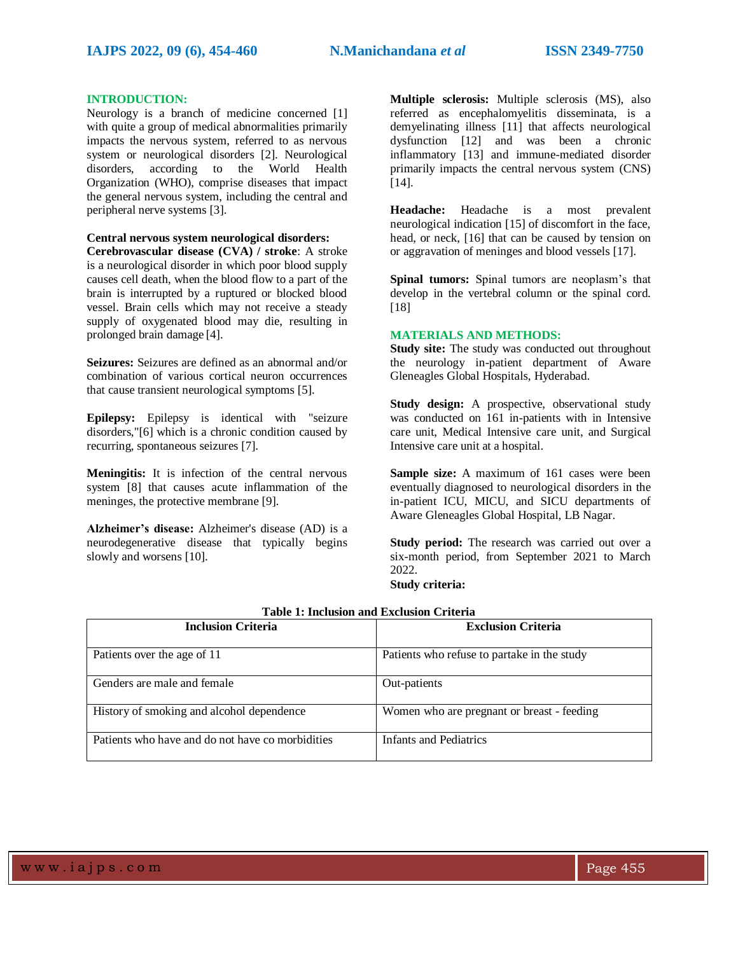#### **INTRODUCTION:**

Neurology is a branch of medicine concerned [1] with quite a group of medical abnormalities primarily impacts the nervous system, referred to as nervous system or neurological disorders [2]. Neurological disorders, according to the World Health Organization (WHO), comprise diseases that impact the general nervous system, including the central and peripheral nerve systems [3].

### **Central nervous system neurological disorders:**

**Cerebrovascular disease (CVA) / stroke**: A stroke is a neurological disorder in which poor blood supply causes cell death, when the blood flow to a part of the brain is interrupted by a ruptured or blocked blood vessel. Brain cells which may not receive a steady supply of oxygenated blood may die, resulting in prolonged brain damage [4].

**Seizures:** Seizures are defined as an abnormal and/or combination of various cortical neuron occurrences that cause transient neurological symptoms [5].

**Epilepsy:** Epilepsy is identical with "seizure disorders,"[6] which is a chronic condition caused by recurring, spontaneous seizures [7].

**Meningitis:** It is infection of the central nervous system [8] that causes acute inflammation of the meninges, the protective membrane [9].

**Alzheimer's disease:** Alzheimer's disease (AD) is a neurodegenerative disease that typically begins slowly and worsens [10].

**Multiple sclerosis:** Multiple sclerosis (MS), also referred as encephalomyelitis disseminata, is a demyelinating illness [11] that affects neurological dysfunction [12] and was been a chronic inflammatory [13] and immune-mediated disorder primarily impacts the central nervous system (CNS) [14].

**Headache:** Headache is a most prevalent neurological indication [15] of discomfort in the face, head, or neck, [16] that can be caused by tension on or aggravation of meninges and blood vessels [17].

**Spinal tumors:** Spinal tumors are neoplasm's that develop in the vertebral column or the spinal cord. [18]

#### **MATERIALS AND METHODS:**

**Study site:** The study was conducted out throughout the neurology in-patient department of Aware Gleneagles Global Hospitals, Hyderabad.

**Study design:** A prospective, observational study was conducted on 161 in-patients with in Intensive care unit, Medical Intensive care unit, and Surgical Intensive care unit at a hospital.

**Sample size:** A maximum of 161 cases were been eventually diagnosed to neurological disorders in the in-patient ICU, MICU, and SICU departments of Aware Gleneagles Global Hospital, LB Nagar.

**Study period:** The research was carried out over a six-month period, from September 2021 to March 2022.

**Study criteria:**

| <b>Inclusion Criteria</b>                        | <b>Exclusion Criteria</b>                   |
|--------------------------------------------------|---------------------------------------------|
| Patients over the age of 11                      | Patients who refuse to partake in the study |
| Genders are male and female                      | Out-patients                                |
| History of smoking and alcohol dependence        | Women who are pregnant or breast - feeding  |
| Patients who have and do not have co morbidities | Infants and Pediatrics                      |

### **Table 1: Inclusion and Exclusion Criteria**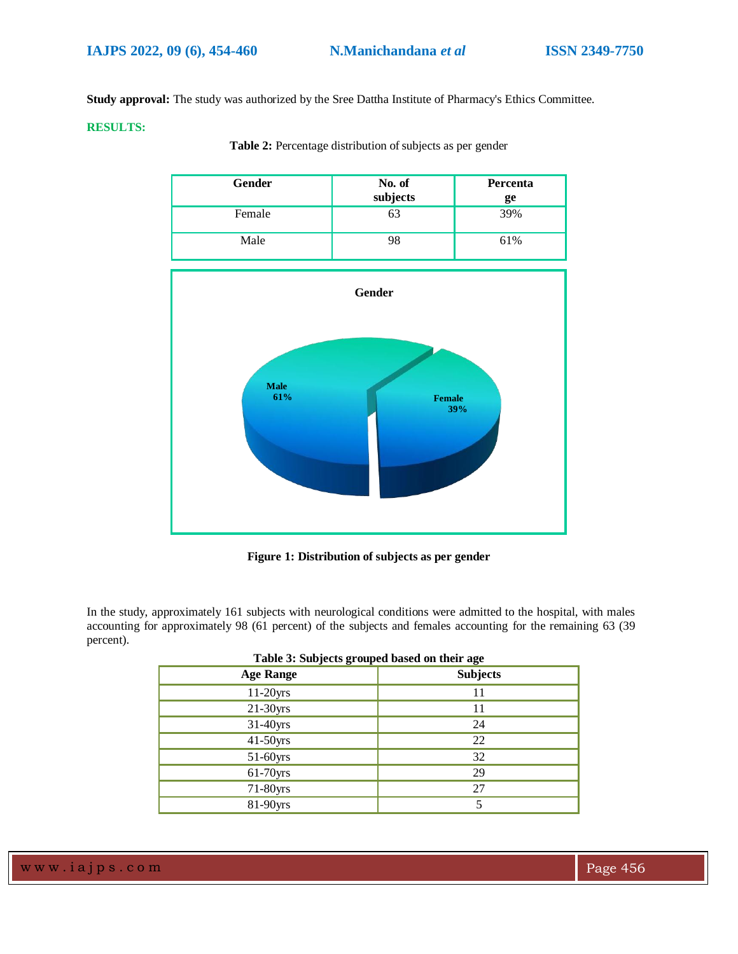**Study approval:** The study was authorized by the Sree Dattha Institute of Pharmacy's Ethics Committee.

#### **RESULTS:**

| <b>Gender</b> | No. of<br>subjects | Percenta<br>ge |
|---------------|--------------------|----------------|
| Female        | ხპ                 | 39%            |
| Male          | 98                 | 61%            |





**Figure 1: Distribution of subjects as per gender**

In the study, approximately 161 subjects with neurological conditions were admitted to the hospital, with males accounting for approximately 98 (61 percent) of the subjects and females accounting for the remaining 63 (39 percent).

| <b>Age Range</b> | <b>Subjects</b> |
|------------------|-----------------|
| 11-20yrs         | 11              |
| 21-30yrs         | 11              |
| 31-40yrs         | 24              |
| 41-50yrs         | 22              |
| 51-60yrs         | 32              |
| 61-70yrs         | 29              |
| 71-80yrs         | 27              |
| 81-90yrs         |                 |

| Table 3: Subjects grouped based on their age |  |  |  |
|----------------------------------------------|--|--|--|
|                                              |  |  |  |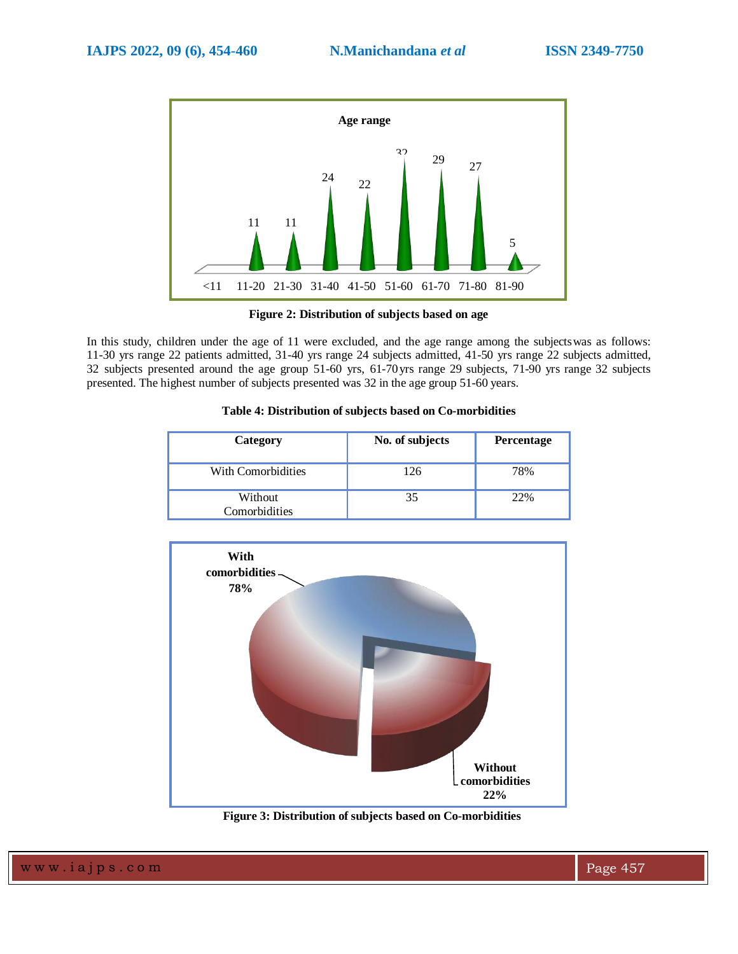

**Figure 2: Distribution of subjects based on age**

In this study, children under the age of 11 were excluded, and the age range among the subjectswas as follows: 11-30 yrs range 22 patients admitted, 31-40 yrs range 24 subjects admitted, 41-50 yrs range 22 subjects admitted, 32 subjects presented around the age group 51-60 yrs, 61-70yrs range 29 subjects, 71-90 yrs range 32 subjects presented. The highest number of subjects presented was 32 in the age group 51-60 years.

## **Table 4: Distribution of subjects based on Co-morbidities**

| Category                 | No. of subjects | <b>Percentage</b> |
|--------------------------|-----------------|-------------------|
| With Comorbidities       | 126             | 78%               |
| Without<br>Comorbidities | 35              | 22%               |



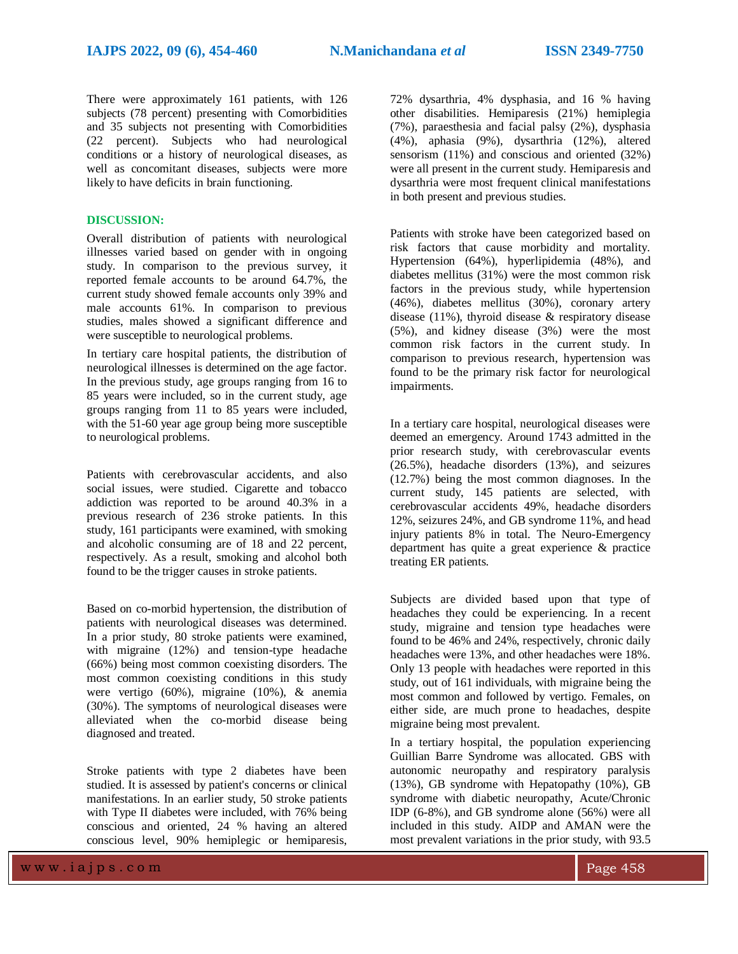There were approximately 161 patients, with 126 subjects (78 percent) presenting with Comorbidities and 35 subjects not presenting with Comorbidities (22 percent). Subjects who had neurological conditions or a history of neurological diseases, as well as concomitant diseases, subjects were more likely to have deficits in brain functioning.

#### **DISCUSSION:**

Overall distribution of patients with neurological illnesses varied based on gender with in ongoing study. In comparison to the previous survey, it reported female accounts to be around 64.7%, the current study showed female accounts only 39% and male accounts 61%. In comparison to previous studies, males showed a significant difference and were susceptible to neurological problems.

In tertiary care hospital patients, the distribution of neurological illnesses is determined on the age factor. In the previous study, age groups ranging from 16 to 85 years were included, so in the current study, age groups ranging from 11 to 85 years were included, with the 51-60 year age group being more susceptible to neurological problems.

Patients with cerebrovascular accidents, and also social issues, were studied. Cigarette and tobacco addiction was reported to be around 40.3% in a previous research of 236 stroke patients. In this study, 161 participants were examined, with smoking and alcoholic consuming are of 18 and 22 percent, respectively. As a result, smoking and alcohol both found to be the trigger causes in stroke patients.

Based on co-morbid hypertension, the distribution of patients with neurological diseases was determined. In a prior study, 80 stroke patients were examined, with migraine (12%) and tension-type headache (66%) being most common coexisting disorders. The most common coexisting conditions in this study were vertigo (60%), migraine (10%), & anemia (30%). The symptoms of neurological diseases were alleviated when the co-morbid disease being diagnosed and treated.

Stroke patients with type 2 diabetes have been studied. It is assessed by patient's concerns or clinical manifestations. In an earlier study, 50 stroke patients with Type II diabetes were included, with 76% being conscious and oriented, 24 % having an altered conscious level, 90% hemiplegic or hemiparesis,

72% dysarthria, 4% dysphasia, and 16 % having other disabilities. Hemiparesis (21%) hemiplegia (7%), paraesthesia and facial palsy (2%), dysphasia (4%), aphasia (9%), dysarthria (12%), altered sensorism (11%) and conscious and oriented (32%) were all present in the current study. Hemiparesis and dysarthria were most frequent clinical manifestations in both present and previous studies.

Patients with stroke have been categorized based on risk factors that cause morbidity and mortality. Hypertension (64%), hyperlipidemia (48%), and diabetes mellitus (31%) were the most common risk factors in the previous study, while hypertension (46%), diabetes mellitus (30%), coronary artery disease (11%), thyroid disease & respiratory disease (5%), and kidney disease (3%) were the most common risk factors in the current study. In comparison to previous research, hypertension was found to be the primary risk factor for neurological impairments.

In a tertiary care hospital, neurological diseases were deemed an emergency. Around 1743 admitted in the prior research study, with cerebrovascular events (26.5%), headache disorders (13%), and seizures (12.7%) being the most common diagnoses. In the current study, 145 patients are selected, with cerebrovascular accidents 49%, headache disorders 12%, seizures 24%, and GB syndrome 11%, and head injury patients 8% in total. The Neuro-Emergency department has quite a great experience & practice treating ER patients.

Subjects are divided based upon that type of headaches they could be experiencing. In a recent study, migraine and tension type headaches were found to be 46% and 24%, respectively, chronic daily headaches were 13%, and other headaches were 18%. Only 13 people with headaches were reported in this study, out of 161 individuals, with migraine being the most common and followed by vertigo. Females, on either side, are much prone to headaches, despite migraine being most prevalent.

In a tertiary hospital, the population experiencing Guillian Barre Syndrome was allocated. GBS with autonomic neuropathy and respiratory paralysis (13%), GB syndrome with Hepatopathy (10%), GB syndrome with diabetic neuropathy, Acute/Chronic IDP (6-8%), and GB syndrome alone (56%) were all included in this study. AIDP and AMAN were the most prevalent variations in the prior study, with 93.5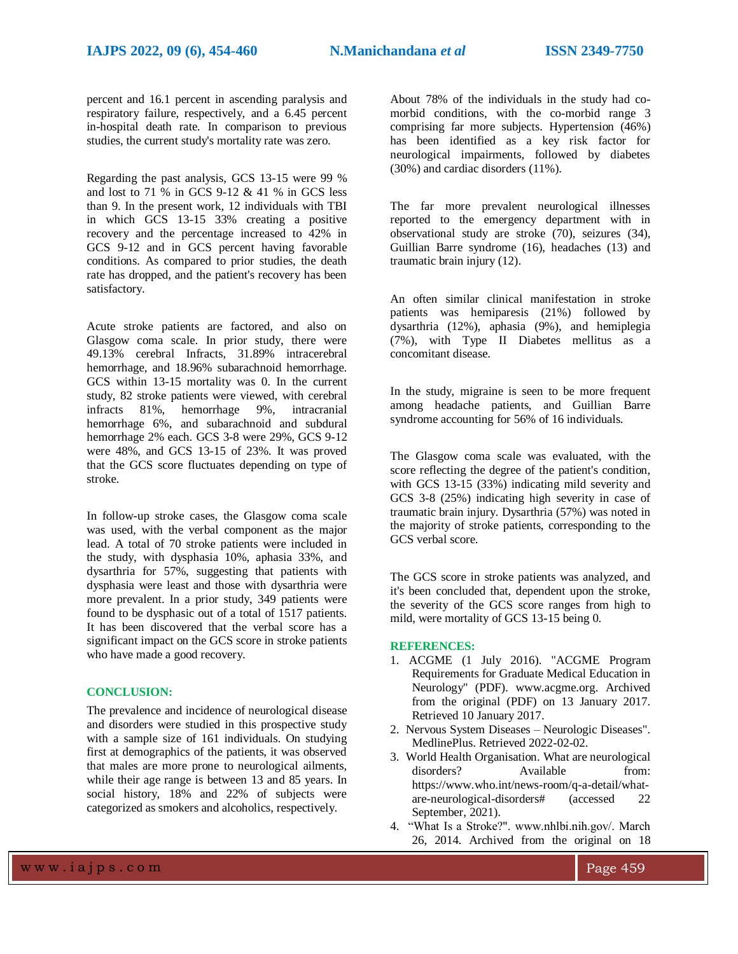percent and 16.1 percent in ascending paralysis and respiratory failure, respectively, and a 6.45 percent in-hospital death rate. In comparison to previous studies, the current study's mortality rate was zero.

Regarding the past analysis, GCS 13-15 were 99 % and lost to 71 % in GCS 9-12 & 41 % in GCS less than 9. In the present work, 12 individuals with TBI in which GCS 13-15 33% creating a positive recovery and the percentage increased to 42% in GCS 9-12 and in GCS percent having favorable conditions. As compared to prior studies, the death rate has dropped, and the patient's recovery has been satisfactory.

Acute stroke patients are factored, and also on Glasgow coma scale. In prior study, there were 49.13% cerebral Infracts, 31.89% intracerebral hemorrhage, and 18.96% subarachnoid hemorrhage. GCS within 13-15 mortality was 0. In the current study, 82 stroke patients were viewed, with cerebral infracts 81%, hemorrhage 9%, intracranial hemorrhage 6%, and subarachnoid and subdural hemorrhage 2% each. GCS 3-8 were 29%, GCS 9-12 were 48%, and GCS 13-15 of 23%. It was proved that the GCS score fluctuates depending on type of stroke.

In follow-up stroke cases, the Glasgow coma scale was used, with the verbal component as the major lead. A total of 70 stroke patients were included in the study, with dysphasia 10%, aphasia 33%, and dysarthria for 57%, suggesting that patients with dysphasia were least and those with dysarthria were more prevalent. In a prior study, 349 patients were found to be dysphasic out of a total of 1517 patients. It has been discovered that the verbal score has a significant impact on the GCS score in stroke patients who have made a good recovery.

#### **CONCLUSION:**

The prevalence and incidence of neurological disease and disorders were studied in this prospective study with a sample size of 161 individuals. On studying first at demographics of the patients, it was observed that males are more prone to neurological ailments, while their age range is between 13 and 85 years. In social history, 18% and 22% of subjects were categorized as smokers and alcoholics, respectively.

About 78% of the individuals in the study had comorbid conditions, with the co-morbid range 3 comprising far more subjects. Hypertension (46%) has been identified as a key risk factor for neurological impairments, followed by diabetes (30%) and cardiac disorders (11%).

The far more prevalent neurological illnesses reported to the emergency department with in observational study are stroke (70), seizures (34), Guillian Barre syndrome (16), headaches (13) and traumatic brain injury (12).

An often similar clinical manifestation in stroke patients was hemiparesis (21%) followed by dysarthria (12%), aphasia (9%), and hemiplegia (7%), with Type II Diabetes mellitus as a concomitant disease.

In the study, migraine is seen to be more frequent among headache patients, and Guillian Barre syndrome accounting for 56% of 16 individuals.

The Glasgow coma scale was evaluated, with the score reflecting the degree of the patient's condition, with GCS 13-15 (33%) indicating mild severity and GCS 3-8 (25%) indicating high severity in case of traumatic brain injury. Dysarthria (57%) was noted in the majority of stroke patients, corresponding to the GCS verbal score.

The GCS score in stroke patients was analyzed, and it's been concluded that, dependent upon the stroke, the severity of the GCS score ranges from high to mild, were mortality of GCS 13-15 being 0.

#### **REFERENCES:**

- 1. ACGME (1 July 2016). "ACGME Program Requirements for Graduate Medical Education in Neurology" (PDF). www.acgme.org. Archived from the original (PDF) on 13 January 2017. Retrieved 10 January 2017.
- 2. Nervous System Diseases Neurologic Diseases". MedlinePlus. Retrieved 2022-02-02.
- 3. World Health Organisation. What are neurological disorders? Available from: https://www.who.int/news-room/q-a-detail/whatare-neurological-disorders# (accessed 22 September, 2021).
- 4. "What Is a Stroke?". www.nhlbi.nih.gov/. March 26, 2014. Archived from the original on 18